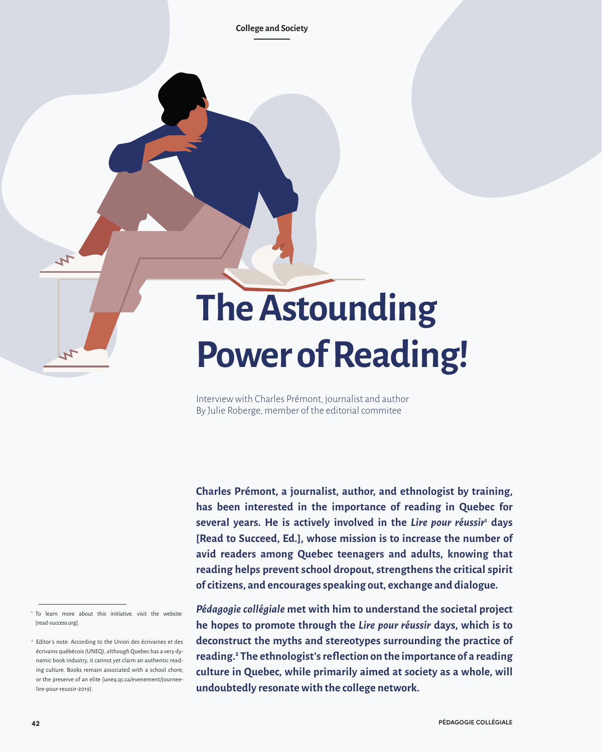**College and Society**

# **The Astounding Power of Reading!**

Interview with Charles Prémont, journalist and author By Julie Roberge, member of the editorial commitee

**Charles Prémont, a journalist, author, and ethnologist by training, has been interested in the importance of reading in Quebec for**  several years. He is actively involved in the *Lire pour réussir<sup>1</sup>* days **[Read to Succeed, Ed.], whose mission is to increase the number of avid readers among Quebec teenagers and adults, knowing that reading helps prevent school dropout, strengthens the critical spirit of citizens, and encourages speaking out, exchange and dialogue.** 

 $\mathcal{L}$ 

*Pédagogie collégiale* **met with him to understand the societal project he hopes to promote through the** *Lire pour réussir* **days, which is to deconstruct the myths and stereotypes surrounding the practice of reading.<sup>2</sup> The ethnologist's reflection on the importance of a reading culture in Quebec, while primarily aimed at society as a whole, will undoubtedly resonate with the college network.**

<sup>1</sup> To learn more about this initiative, visit the website [read-success.org].

<sup>&</sup>lt;sup>2</sup> Editor's note: According to the Union des écrivaines et des écrivains québécois (UNEQ), although Quebec has a very dynamic book industry, it cannot yet claim an authentic reading culture. Books remain associated with a school chore, or the preserve of an elite [uneq.qc.ca/evenement/journeelire-pour-reussir-2019].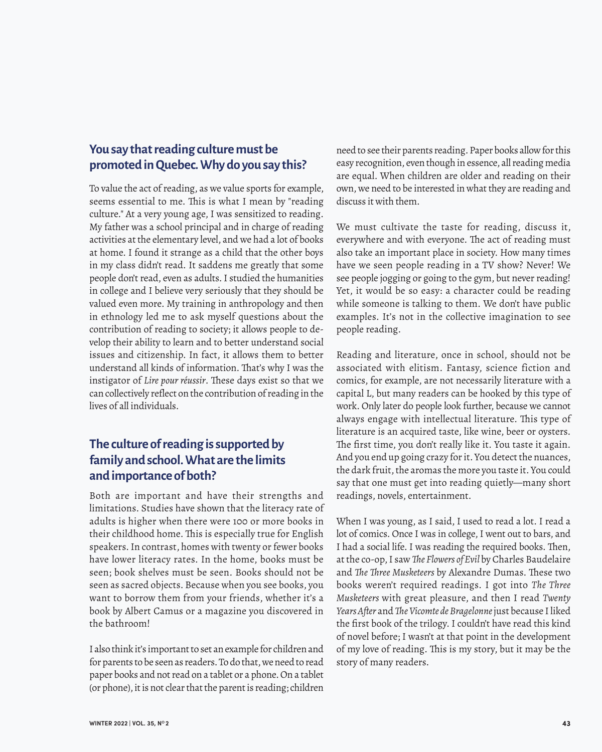#### **You say that reading culture must be promoted in Quebec. Why do you say this?**

To value the act of reading, as we value sports for example, seems essential to me. This is what I mean by "reading culture." At a very young age, I was sensitized to reading. My father was a school principal and in charge of reading activities at the elementary level, and we had a lot of books at home. I found it strange as a child that the other boys in my class didn't read. It saddens me greatly that some people don't read, even as adults. I studied the humanities in college and I believe very seriously that they should be valued even more. My training in anthropology and then in ethnology led me to ask myself questions about the contribution of reading to society; it allows people to develop their ability to learn and to better understand social issues and citizenship. In fact, it allows them to better understand all kinds of information. That's why I was the instigator of *Lire pour réussir*. These days exist so that we can collectively reflect on the contribution of reading in the lives of all individuals.

## **The culture of reading is supported by family and school. What are the limits and importance of both?**

Both are important and have their strengths and limitations. Studies have shown that the literacy rate of adults is higher when there were 100 or more books in their childhood home. This is especially true for English speakers. In contrast, homes with twenty or fewer books have lower literacy rates. In the home, books must be seen; book shelves must be seen. Books should not be seen as sacred objects. Because when you see books, you want to borrow them from your friends, whether it's a book by Albert Camus or a magazine you discovered in the bathroom!

I also think it's important to set an example for children and for parents to be seen as readers. To do that, we need to read paper books and not read on a tablet or a phone. On a tablet (or phone), it is not clear that the parent is reading; children

need to see their parents reading. Paper books allow for this easy recognition, even though in essence, all reading media are equal. When children are older and reading on their own, we need to be interested in what they are reading and discuss it with them.

We must cultivate the taste for reading, discuss it, everywhere and with everyone. The act of reading must also take an important place in society. How many times have we seen people reading in a TV show? Never! We see people jogging or going to the gym, but never reading! Yet, it would be so easy: a character could be reading while someone is talking to them. We don't have public examples. It's not in the collective imagination to see people reading.

Reading and literature, once in school, should not be associated with elitism. Fantasy, science fiction and comics, for example, are not necessarily literature with a capital L, but many readers can be hooked by this type of work. Only later do people look further, because we cannot always engage with intellectual literature. This type of literature is an acquired taste, like wine, beer or oysters. The first time, you don't really like it. You taste it again. And you end up going crazy for it. You detect the nuances, the dark fruit, the aromas the more you taste it. You could say that one must get into reading quietly—many short readings, novels, entertainment.

When I was young, as I said, I used to read a lot. I read a lot of comics. Once I was in college, I went out to bars, and I had a social life. I was reading the required books. Then, at the co-op, I saw *The Flowers of Evil* by Charles Baudelaire and *The Three Musketeers* by Alexandre Dumas. These two books weren't required readings. I got into *The Three Musketeers* with great pleasure, and then I read *Twenty Years After* and *The Vicomte de Bragelonne* just because I liked the first book of the trilogy. I couldn't have read this kind of novel before; I wasn't at that point in the development of my love of reading. This is my story, but it may be the story of many readers.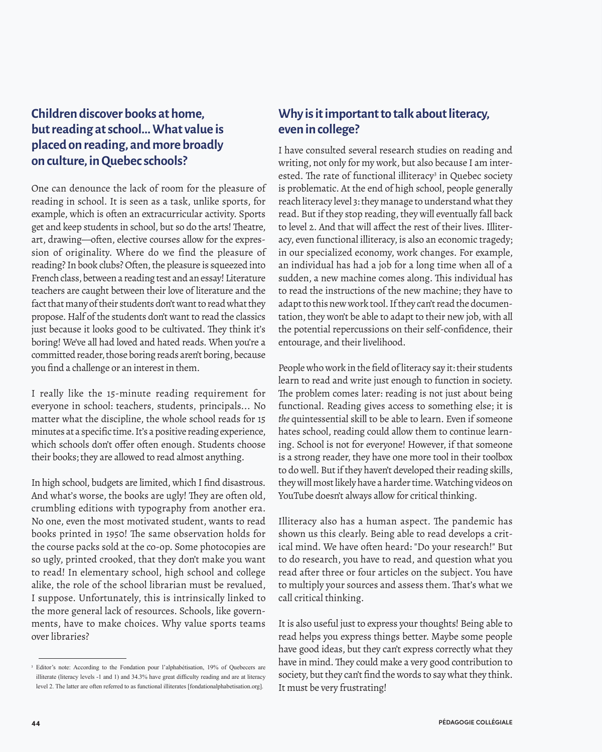## **Children discover books at home, but reading at school... What value is placed on reading, and more broadly on culture, in Quebec schools?**

One can denounce the lack of room for the pleasure of reading in school. It is seen as a task, unlike sports, for example, which is often an extracurricular activity. Sports get and keep students in school, but so do the arts! Theatre, art, drawing—often, elective courses allow for the expression of originality. Where do we find the pleasure of reading? In book clubs? Often, the pleasure is squeezed into French class, between a reading test and an essay! Literature teachers are caught between their love of literature and the fact that many of their students don't want to read what they propose. Half of the students don't want to read the classics just because it looks good to be cultivated. They think it's boring! We've all had loved and hated reads. When you're a committed reader, those boring reads aren't boring, because you find a challenge or an interest in them.

I really like the 15-minute reading requirement for everyone in school: teachers, students, principals... No matter what the discipline, the whole school reads for 15 minutes at a specific time. It's a positive reading experience, which schools don't offer often enough. Students choose their books; they are allowed to read almost anything.

In high school, budgets are limited, which I find disastrous. And what's worse, the books are ugly! They are often old, crumbling editions with typography from another era. No one, even the most motivated student, wants to read books printed in 1950! The same observation holds for the course packs sold at the co-op. Some photocopies are so ugly, printed crooked, that they don't make you want to read! In elementary school, high school and college alike, the role of the school librarian must be revalued, I suppose. Unfortunately, this is intrinsically linked to the more general lack of resources. Schools, like governments, have to make choices. Why value sports teams over libraries?

### **Why is it important to talk about literacy, even in college?**

I have consulted several research studies on reading and writing, not only for my work, but also because I am interested. The rate of functional illiteracy<sup>3</sup> in Quebec society is problematic. At the end of high school, people generally reach literacy level 3: they manage to understand what they read. But if they stop reading, they will eventually fall back to level 2. And that will affect the rest of their lives. Illiteracy, even functional illiteracy, is also an economic tragedy; in our specialized economy, work changes. For example, an individual has had a job for a long time when all of a sudden, a new machine comes along. This individual has to read the instructions of the new machine; they have to adapt to this new work tool. If they can't read the documentation, they won't be able to adapt to their new job, with all the potential repercussions on their self-confidence, their entourage, and their livelihood.

People who work in the field of literacy say it: their students learn to read and write just enough to function in society. The problem comes later: reading is not just about being functional. Reading gives access to something else; it is *the* quintessential skill to be able to learn. Even if someone hates school, reading could allow them to continue learning. School is not for everyone! However, if that someone is a strong reader, they have one more tool in their toolbox to do well. But if they haven't developed their reading skills, they will most likely have a harder time. Watching videos on YouTube doesn't always allow for critical thinking.

Illiteracy also has a human aspect. The pandemic has shown us this clearly. Being able to read develops a critical mind. We have often heard: "Do your research!" But to do research, you have to read, and question what you read after three or four articles on the subject. You have to multiply your sources and assess them. That's what we call critical thinking.

It is also useful just to express your thoughts! Being able to read helps you express things better. Maybe some people have good ideas, but they can't express correctly what they have in mind. They could make a very good contribution to society, but they can't find the words to say what they think. It must be very frustrating!

<sup>3</sup> Editor's note: According to the Fondation pour l'alphabétisation, 19% of Quebecers are illiterate (literacy levels -1 and 1) and 34.3% have great difficulty reading and are at literacy level 2. The latter are often referred to as functional illiterates [fondationalphabetisation.org].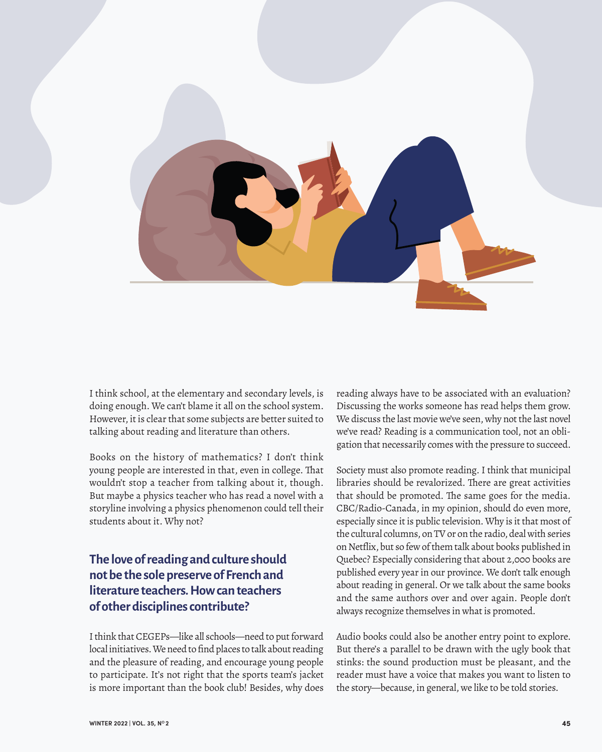

I think school, at the elementary and secondary levels, is doing enough. We can't blame it all on the school system. However, it is clear that some subjects are better suited to talking about reading and literature than others.

Books on the history of mathematics? I don't think young people are interested in that, even in college. That wouldn't stop a teacher from talking about it, though. But maybe a physics teacher who has read a novel with a storyline involving a physics phenomenon could tell their students about it. Why not?

## **The love of reading and culture should not be the sole preserve of French and literature teachers. How can teachers of other disciplines contribute?**

I think that CEGEPs—like all schools—need to put forward local initiatives. We need to find places to talk about reading and the pleasure of reading, and encourage young people to participate. It's not right that the sports team's jacket is more important than the book club! Besides, why does reading always have to be associated with an evaluation? Discussing the works someone has read helps them grow. We discuss the last movie we've seen, why not the last novel we've read? Reading is a communication tool, not an obligation that necessarily comes with the pressure to succeed.

Society must also promote reading. I think that municipal libraries should be revalorized. There are great activities that should be promoted. The same goes for the media. CBC/Radio-Canada, in my opinion, should do even more, especially since it is public television. Why is it that most of the cultural columns, on TV or on the radio, deal with series on Netflix, but so few of them talk about books published in Quebec? Especially considering that about 2,000 books are published every year in our province. We don't talk enough about reading in general. Or we talk about the same books and the same authors over and over again. People don't always recognize themselves in what is promoted.

Audio books could also be another entry point to explore. But there's a parallel to be drawn with the ugly book that stinks: the sound production must be pleasant, and the reader must have a voice that makes you want to listen to the story—because, in general, we like to be told stories.